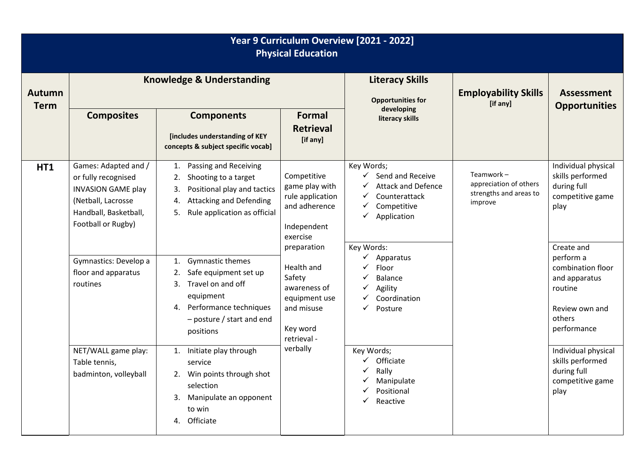| Year 9 Curriculum Overview [2021 - 2022]<br><b>Physical Education</b> |                                                                                                                                               |                                                                                                                                                                              |                                                                                                               |                                                                                                                 |                                                                          |                                                                                                                     |  |
|-----------------------------------------------------------------------|-----------------------------------------------------------------------------------------------------------------------------------------------|------------------------------------------------------------------------------------------------------------------------------------------------------------------------------|---------------------------------------------------------------------------------------------------------------|-----------------------------------------------------------------------------------------------------------------|--------------------------------------------------------------------------|---------------------------------------------------------------------------------------------------------------------|--|
| <b>Autumn</b><br><b>Term</b>                                          | <b>Knowledge &amp; Understanding</b>                                                                                                          |                                                                                                                                                                              |                                                                                                               | <b>Literacy Skills</b><br><b>Opportunities for</b><br>developing                                                | <b>Employability Skills</b><br>[if any]                                  | <b>Assessment</b><br><b>Opportunities</b>                                                                           |  |
|                                                                       | <b>Composites</b>                                                                                                                             | <b>Components</b><br>[includes understanding of KEY<br>concepts & subject specific vocab]                                                                                    | <b>Formal</b><br><b>Retrieval</b><br>[if any]                                                                 | literacy skills                                                                                                 |                                                                          |                                                                                                                     |  |
| <b>HT1</b>                                                            | Games: Adapted and /<br>or fully recognised<br><b>INVASION GAME play</b><br>(Netball, Lacrosse<br>Handball, Basketball,<br>Football or Rugby) | Passing and Receiving<br>1.<br>Shooting to a target<br>2.<br>Positional play and tactics<br>3.<br><b>Attacking and Defending</b><br>4.<br>Rule application as official<br>5. | Competitive<br>game play with<br>rule application<br>and adherence<br>Independent<br>exercise                 | Key Words;<br>Send and Receive<br><b>Attack and Defence</b><br>Counterattack<br>✓<br>Competitive<br>Application | Teamwork-<br>appreciation of others<br>strengths and areas to<br>improve | Individual physical<br>skills performed<br>during full<br>competitive game<br>play                                  |  |
|                                                                       | Gymnastics: Develop a<br>floor and apparatus<br>routines                                                                                      | Gymnastic themes<br>1.<br>Safe equipment set up<br>Travel on and off<br>3.<br>equipment<br>Performance techniques<br>4.<br>$-$ posture / start and end<br>positions          | preparation<br>Health and<br>Safety<br>awareness of<br>equipment use<br>and misuse<br>Key word<br>retrieval - | Key Words:<br>Apparatus<br>Floor<br><b>Balance</b><br>Agility<br>Coordination<br>Posture<br>$\checkmark$        |                                                                          | Create and<br>perform a<br>combination floor<br>and apparatus<br>routine<br>Review own and<br>others<br>performance |  |
|                                                                       | NET/WALL game play:<br>Table tennis,<br>badminton, volleyball                                                                                 | Initiate play through<br>1.<br>service<br>Win points through shot<br>2.<br>selection<br>3. Manipulate an opponent<br>to win<br>4. Officiate                                  | verbally                                                                                                      | Key Words;<br>$\checkmark$ Officiate<br>$\checkmark$ Rally<br>Manipulate<br>Positional<br>Reactive              |                                                                          | Individual physical<br>skills performed<br>during full<br>competitive game<br>play                                  |  |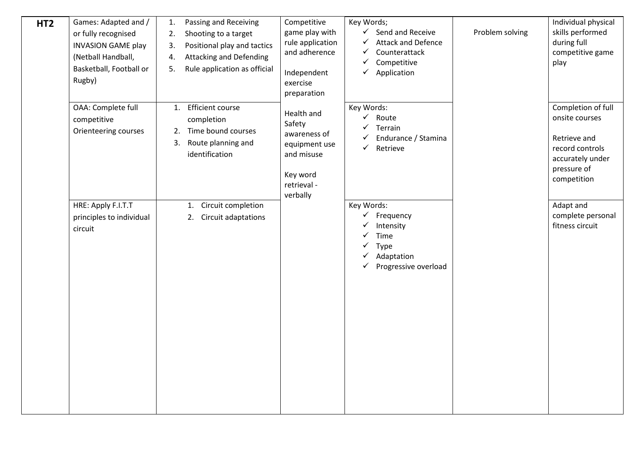| HT <sub>2</sub> | Games: Adapted and /<br>or fully recognised<br><b>INVASION GAME play</b><br>(Netball Handball,<br>Basketball, Football or<br>Rugby) | Passing and Receiving<br>1.<br>Shooting to a target<br>2.<br>Positional play and tactics<br>3.<br><b>Attacking and Defending</b><br>4.<br>Rule application as official<br>5. | Competitive<br>game play with<br>rule application<br>and adherence<br>Independent<br>exercise<br>preparation | Key Words;<br>$\checkmark$ Send and Receive<br><b>Attack and Defence</b><br>$\checkmark$<br>✓<br>Counterattack<br>Competitive<br>✓<br>$\checkmark$<br>Application | Problem solving | Individual physical<br>skills performed<br>during full<br>competitive game<br>play                                        |
|-----------------|-------------------------------------------------------------------------------------------------------------------------------------|------------------------------------------------------------------------------------------------------------------------------------------------------------------------------|--------------------------------------------------------------------------------------------------------------|-------------------------------------------------------------------------------------------------------------------------------------------------------------------|-----------------|---------------------------------------------------------------------------------------------------------------------------|
|                 | OAA: Complete full<br>competitive<br>Orienteering courses                                                                           | <b>Efficient course</b><br>1.<br>completion<br>Time bound courses<br>2.<br>Route planning and<br>3.<br>identification                                                        | Health and<br>Safety<br>awareness of<br>equipment use<br>and misuse<br>Key word<br>retrieval -<br>verbally   | Key Words:<br>$\checkmark$ Route<br>$\checkmark$<br>Terrain<br>Endurance / Stamina<br>✓<br>$\checkmark$ Retrieve                                                  |                 | Completion of full<br>onsite courses<br>Retrieve and<br>record controls<br>accurately under<br>pressure of<br>competition |
|                 | HRE: Apply F.I.T.T<br>principles to individual<br>circuit                                                                           | Circuit completion<br>1.<br>2. Circuit adaptations                                                                                                                           |                                                                                                              | Key Words:<br>✓<br>Frequency<br>Intensity<br>Time<br>✓<br>Type<br>✓<br>Adaptation<br>✓<br>$\checkmark$ Progressive overload                                       |                 | Adapt and<br>complete personal<br>fitness circuit                                                                         |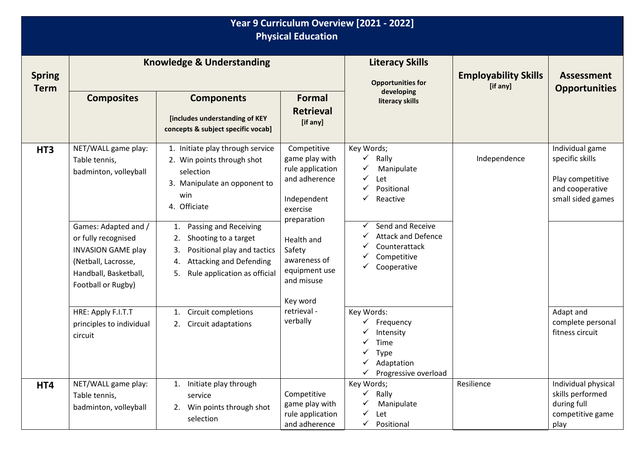| Year 9 Curriculum Overview [2021 - 2022]<br><b>Physical Education</b> |                                                                                                                                                |                                                                                                                                                                              |                                                                                                |                                                                                                              |                                         |                                                                                                |
|-----------------------------------------------------------------------|------------------------------------------------------------------------------------------------------------------------------------------------|------------------------------------------------------------------------------------------------------------------------------------------------------------------------------|------------------------------------------------------------------------------------------------|--------------------------------------------------------------------------------------------------------------|-----------------------------------------|------------------------------------------------------------------------------------------------|
| <b>Spring</b><br><b>Term</b>                                          | <b>Knowledge &amp; Understanding</b>                                                                                                           |                                                                                                                                                                              |                                                                                                | <b>Literacy Skills</b><br><b>Opportunities for</b>                                                           | <b>Employability Skills</b><br>[if any] | <b>Assessment</b>                                                                              |
|                                                                       | <b>Composites</b>                                                                                                                              | <b>Components</b><br>[includes understanding of KEY<br>concepts & subject specific vocab]                                                                                    | Formal<br><b>Retrieval</b><br>[if any]                                                         | developing<br>literacy skills                                                                                |                                         | <b>Opportunities</b>                                                                           |
| HT <sub>3</sub>                                                       | NET/WALL game play:<br>Table tennis,<br>badminton, volleyball                                                                                  | 1. Initiate play through service<br>2. Win points through shot<br>selection<br>3. Manipulate an opponent to<br>win<br>4. Officiate                                           | Competitive<br>game play with<br>rule application<br>and adherence<br>Independent<br>exercise  | Key Words;<br>Rally<br>✓<br>Manipulate<br>Let<br>✓<br>Positional<br>✔<br>Reactive                            | Independence                            | Individual game<br>specific skills<br>Play competitive<br>and cooperative<br>small sided games |
|                                                                       | Games: Adapted and /<br>or fully recognised<br><b>INVASION GAME play</b><br>(Netball, Lacrosse,<br>Handball, Basketball,<br>Football or Rugby) | Passing and Receiving<br>1.<br>Shooting to a target<br>2.<br>Positional play and tactics<br>3.<br><b>Attacking and Defending</b><br>4.<br>Rule application as official<br>5. | preparation<br>Health and<br>Safety<br>awareness of<br>equipment use<br>and misuse<br>Key word | Send and Receive<br>✓<br><b>Attack and Defence</b><br>Counterattack<br>Competitive<br>Cooperative            |                                         |                                                                                                |
|                                                                       | HRE: Apply F.I.T.T<br>principles to individual<br>circuit                                                                                      | Circuit completions<br>1.<br>2. Circuit adaptations                                                                                                                          | retrieval -<br>verbally                                                                        | Key Words:<br>Frequency<br>Intensity<br>Time<br>$\checkmark$ Type<br>Adaptation<br>Progressive overload<br>✓ |                                         | Adapt and<br>complete personal<br>fitness circuit                                              |
| HT4                                                                   | NET/WALL game play:<br>Table tennis,<br>badminton, volleyball                                                                                  | Initiate play through<br>1.<br>service<br>Win points through shot<br>2.<br>selection                                                                                         | Competitive<br>game play with<br>rule application<br>and adherence                             | Key Words;<br>$\checkmark$<br>Rally<br>Manipulate<br>Let<br>✓<br>Positional<br>✓                             | Resilience                              | Individual physical<br>skills performed<br>during full<br>competitive game<br>play             |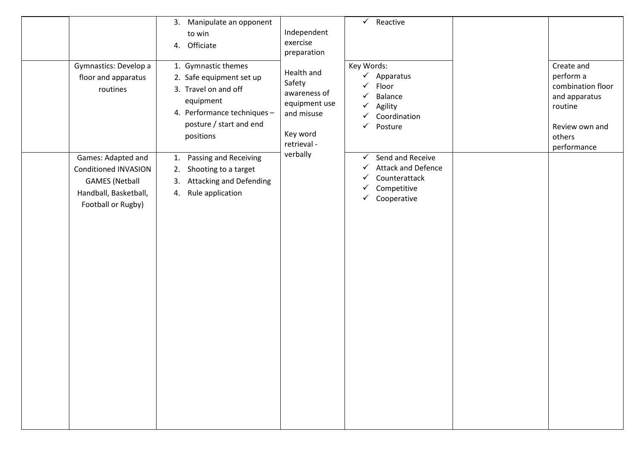| Gymnastics: Develop a<br>floor and apparatus<br>routines                                                                  | 3. Manipulate an opponent<br>to win<br>Officiate<br>4.<br>1. Gymnastic themes<br>2. Safe equipment set up<br>3. Travel on and off<br>equipment<br>4. Performance techniques -<br>posture / start and end<br>positions | Independent<br>exercise<br>preparation<br>Health and<br>Safety<br>awareness of<br>equipment use<br>and misuse<br>Key word<br>retrieval - | $\checkmark$ Reactive<br>Key Words:<br>Apparatus<br>$\checkmark$<br>Floor<br>✓<br>Balance<br>✓<br>Agility<br>✓<br>Coordination<br>Posture<br>✓ | Create and<br>perform a<br>combination floor<br>and apparatus<br>routine<br>Review own and<br>others<br>performance |
|---------------------------------------------------------------------------------------------------------------------------|-----------------------------------------------------------------------------------------------------------------------------------------------------------------------------------------------------------------------|------------------------------------------------------------------------------------------------------------------------------------------|------------------------------------------------------------------------------------------------------------------------------------------------|---------------------------------------------------------------------------------------------------------------------|
| Games: Adapted and<br><b>Conditioned INVASION</b><br><b>GAMES</b> (Netball<br>Handball, Basketball,<br>Football or Rugby) | Passing and Receiving<br>1.<br>Shooting to a target<br>2.<br><b>Attacking and Defending</b><br>3.<br>Rule application<br>4.                                                                                           | verbally                                                                                                                                 | Send and Receive<br>✓<br><b>Attack and Defence</b><br>✓<br>Counterattack<br>✓<br>Competitive<br>✓<br>Cooperative<br>$\checkmark$               |                                                                                                                     |